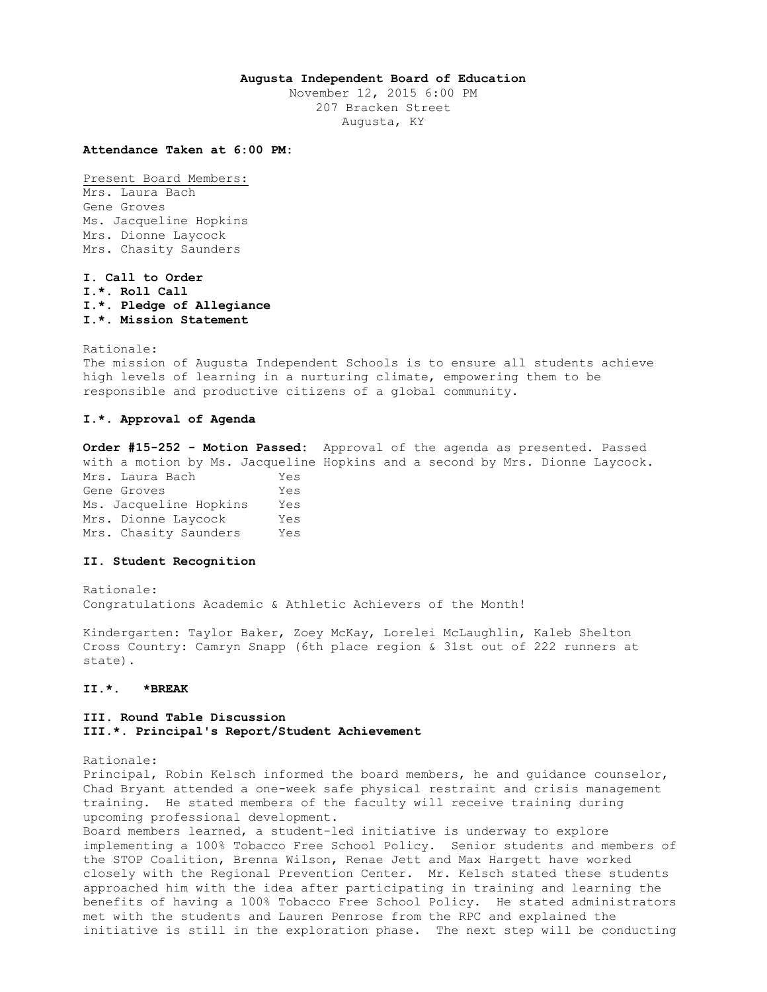#### **Augusta Independent Board of Education**

November 12, 2015 6:00 PM 207 Bracken Street Augusta, KY

## **Attendance Taken at 6:00 PM:**

Present Board Members: Mrs. Laura Bach Gene Groves Ms. Jacqueline Hopkins Mrs. Dionne Laycock Mrs. Chasity Saunders

**I. Call to Order I.\*. Roll Call I.\*. Pledge of Allegiance I.\*. Mission Statement** 

Rationale: The mission of Augusta Independent Schools is to ensure all students achieve high levels of learning in a nurturing climate, empowering them to be responsible and productive citizens of a global community.

# **I.\*. Approval of Agenda**

**Order #15-252 - Motion Passed:** Approval of the agenda as presented. Passed with a motion by Ms. Jacqueline Hopkins and a second by Mrs. Dionne Laycock. Mrs. Laura Bach Yes Gene Groves Tes Ms. Jacqueline Hopkins Yes Mrs. Dionne Laycock Yes Mrs. Chasity Saunders Yes

### **II. Student Recognition**

Rationale: Congratulations Academic & Athletic Achievers of the Month!

Kindergarten: Taylor Baker, Zoey McKay, Lorelei McLaughlin, Kaleb Shelton Cross Country: Camryn Snapp (6th place region & 31st out of 222 runners at state).

# **II.\*. \*BREAK**

### **III. Round Table Discussion III.\*. Principal's Report/Student Achievement**

Rationale:

Principal, Robin Kelsch informed the board members, he and guidance counselor, Chad Bryant attended a one-week safe physical restraint and crisis management training. He stated members of the faculty will receive training during upcoming professional development. Board members learned, a student-led initiative is underway to explore implementing a 100% Tobacco Free School Policy. Senior students and members of the STOP Coalition, Brenna Wilson, Renae Jett and Max Hargett have worked closely with the Regional Prevention Center. Mr. Kelsch stated these students approached him with the idea after participating in training and learning the benefits of having a 100% Tobacco Free School Policy. He stated administrators

met with the students and Lauren Penrose from the RPC and explained the initiative is still in the exploration phase. The next step will be conducting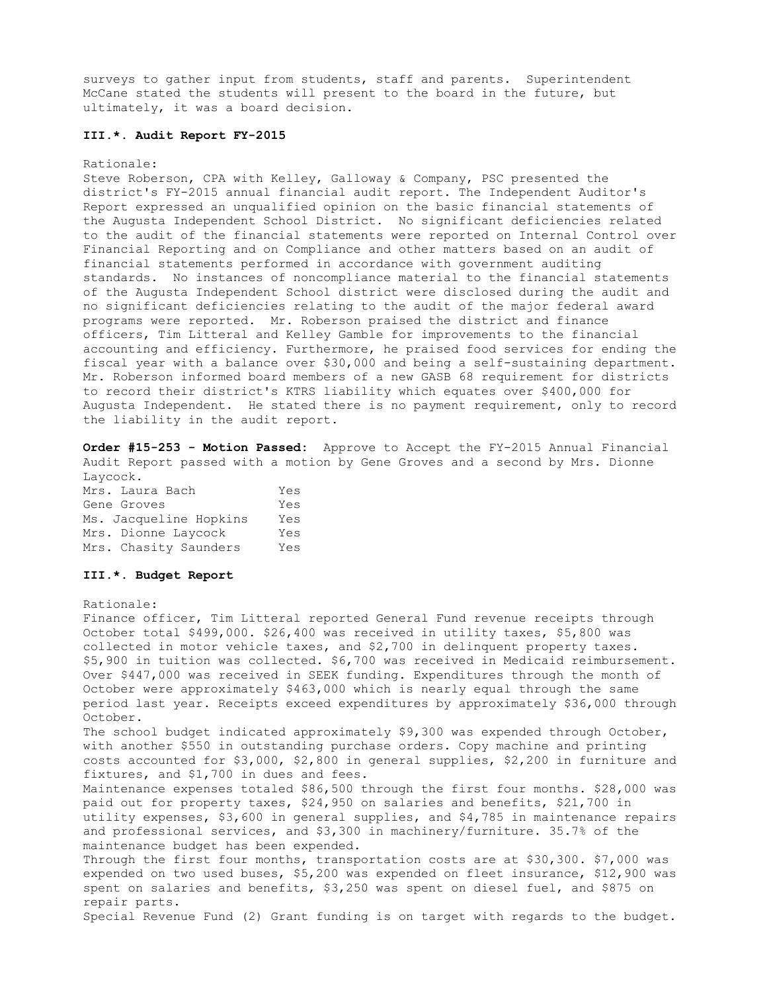surveys to gather input from students, staff and parents. Superintendent McCane stated the students will present to the board in the future, but ultimately, it was a board decision.

#### **III.\*. Audit Report FY-2015**

#### Rationale:

Steve Roberson, CPA with Kelley, Galloway & Company, PSC presented the district's FY-2015 annual financial audit report. The Independent Auditor's Report expressed an unqualified opinion on the basic financial statements of the Augusta Independent School District. No significant deficiencies related to the audit of the financial statements were reported on Internal Control over Financial Reporting and on Compliance and other matters based on an audit of financial statements performed in accordance with government auditing standards. No instances of noncompliance material to the financial statements of the Augusta Independent School district were disclosed during the audit and no significant deficiencies relating to the audit of the major federal award programs were reported. Mr. Roberson praised the district and finance officers, Tim Litteral and Kelley Gamble for improvements to the financial accounting and efficiency. Furthermore, he praised food services for ending the fiscal year with a balance over \$30,000 and being a self-sustaining department. Mr. Roberson informed board members of a new GASB 68 requirement for districts to record their district's KTRS liability which equates over \$400,000 for Augusta Independent. He stated there is no payment requirement, only to record the liability in the audit report.

**Order #15-253 - Motion Passed:** Approve to Accept the FY-2015 Annual Financial Audit Report passed with a motion by Gene Groves and a second by Mrs. Dionne Laycock.

| Mrs. Laura Bach     |                        | Yes |
|---------------------|------------------------|-----|
| Gene Groves         |                        | Yes |
|                     | Ms. Jacqueline Hopkins | Yes |
| Mrs. Dionne Laycock |                        | Yes |
|                     | Mrs. Chasity Saunders  | Yes |

## **III.\*. Budget Report**

#### Rationale:

Finance officer, Tim Litteral reported General Fund revenue receipts through October total \$499,000. \$26,400 was received in utility taxes, \$5,800 was collected in motor vehicle taxes, and \$2,700 in delinquent property taxes. \$5,900 in tuition was collected. \$6,700 was received in Medicaid reimbursement. Over \$447,000 was received in SEEK funding. Expenditures through the month of October were approximately \$463,000 which is nearly equal through the same period last year. Receipts exceed expenditures by approximately \$36,000 through October. The school budget indicated approximately \$9,300 was expended through October, with another \$550 in outstanding purchase orders. Copy machine and printing costs accounted for \$3,000, \$2,800 in general supplies, \$2,200 in furniture and fixtures, and \$1,700 in dues and fees. Maintenance expenses totaled \$86,500 through the first four months. \$28,000 was paid out for property taxes, \$24,950 on salaries and benefits, \$21,700 in utility expenses, \$3,600 in general supplies, and \$4,785 in maintenance repairs and professional services, and \$3,300 in machinery/furniture. 35.7% of the maintenance budget has been expended. Through the first four months, transportation costs are at \$30,300. \$7,000 was expended on two used buses, \$5,200 was expended on fleet insurance, \$12,900 was spent on salaries and benefits, \$3,250 was spent on diesel fuel, and \$875 on repair parts. Special Revenue Fund (2) Grant funding is on target with regards to the budget.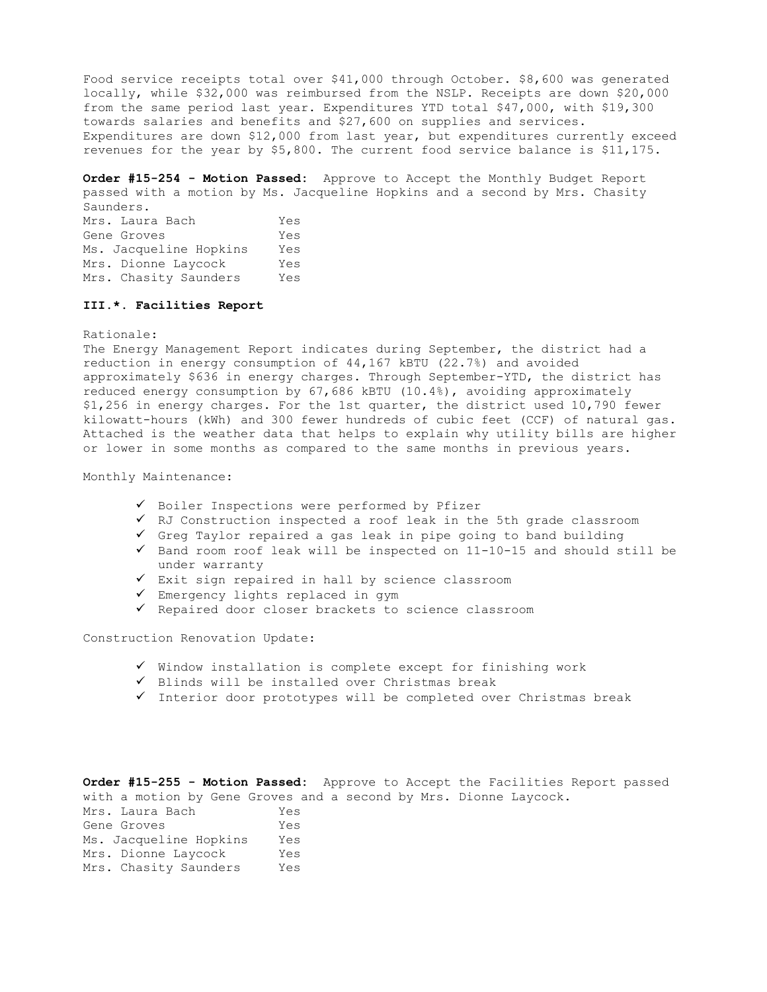Food service receipts total over \$41,000 through October. \$8,600 was generated locally, while \$32,000 was reimbursed from the NSLP. Receipts are down \$20,000 from the same period last year. Expenditures YTD total \$47,000, with \$19,300 towards salaries and benefits and \$27,600 on supplies and services. Expenditures are down \$12,000 from last year, but expenditures currently exceed revenues for the year by \$5,800. The current food service balance is \$11,175.

**Order #15-254 - Motion Passed:** Approve to Accept the Monthly Budget Report passed with a motion by Ms. Jacqueline Hopkins and a second by Mrs. Chasity Saunders.

Mrs. Laura Bach Yes Gene Groves Tes Ms. Jacqueline Hopkins Yes Mrs. Dionne Laycock Yes Mrs. Chasity Saunders Yes

### **III.\*. Facilities Report**

Rationale:

The Energy Management Report indicates during September, the district had a reduction in energy consumption of 44,167 kBTU (22.7%) and avoided approximately \$636 in energy charges. Through September-YTD, the district has reduced energy consumption by 67,686 kBTU (10.4%), avoiding approximately \$1,256 in energy charges. For the 1st quarter, the district used 10,790 fewer kilowatt-hours (kWh) and 300 fewer hundreds of cubic feet (CCF) of natural gas. Attached is the weather data that helps to explain why utility bills are higher or lower in some months as compared to the same months in previous years.

## Monthly Maintenance:

- $\checkmark$  Boiler Inspections were performed by Pfizer
- RJ Construction inspected a roof leak in the 5th grade classroom
- $\checkmark$  Greg Taylor repaired a gas leak in pipe going to band building
- $\checkmark$  Band room roof leak will be inspected on 11-10-15 and should still be under warranty
- $\checkmark$  Exit sign repaired in hall by science classroom
- $\checkmark$  Emergency lights replaced in gym
- $\checkmark$  Repaired door closer brackets to science classroom

Construction Renovation Update:

- $\checkmark$  Window installation is complete except for finishing work
- $\checkmark$  Blinds will be installed over Christmas break
- $\checkmark$  Interior door prototypes will be completed over Christmas break

**Order #15-255 - Motion Passed:** Approve to Accept the Facilities Report passed with a motion by Gene Groves and a second by Mrs. Dionne Laycock. Mrs. Laura Bach Yes Gene Groves Yes Ms. Jacqueline Hopkins Yes

| Mrs. Dionne Laycock |                       | Yes |  |
|---------------------|-----------------------|-----|--|
|                     | Mrs. Chasity Saunders | Yes |  |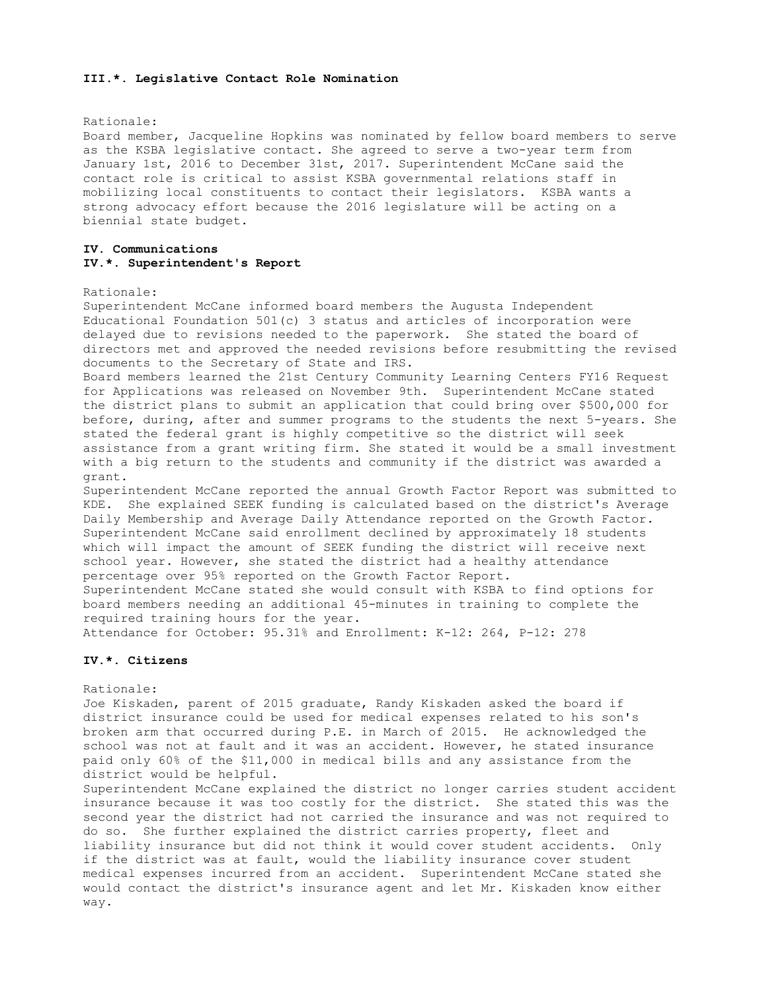#### **III.\*. Legislative Contact Role Nomination**

#### Rationale:

Board member, Jacqueline Hopkins was nominated by fellow board members to serve as the KSBA legislative contact. She agreed to serve a two-year term from January 1st, 2016 to December 31st, 2017. Superintendent McCane said the contact role is critical to assist KSBA governmental relations staff in mobilizing local constituents to contact their legislators. KSBA wants a strong advocacy effort because the 2016 legislature will be acting on a biennial state budget.

## **IV. Communications IV.\*. Superintendent's Report**

#### Rationale:

Superintendent McCane informed board members the Augusta Independent Educational Foundation 501(c) 3 status and articles of incorporation were delayed due to revisions needed to the paperwork. She stated the board of directors met and approved the needed revisions before resubmitting the revised documents to the Secretary of State and IRS.

Board members learned the 21st Century Community Learning Centers FY16 Request for Applications was released on November 9th. Superintendent McCane stated the district plans to submit an application that could bring over \$500,000 for before, during, after and summer programs to the students the next 5-years. She stated the federal grant is highly competitive so the district will seek assistance from a grant writing firm. She stated it would be a small investment with a big return to the students and community if the district was awarded a grant.

Superintendent McCane reported the annual Growth Factor Report was submitted to KDE. She explained SEEK funding is calculated based on the district's Average Daily Membership and Average Daily Attendance reported on the Growth Factor. Superintendent McCane said enrollment declined by approximately 18 students which will impact the amount of SEEK funding the district will receive next school year. However, she stated the district had a healthy attendance percentage over 95% reported on the Growth Factor Report. Superintendent McCane stated she would consult with KSBA to find options for board members needing an additional 45-minutes in training to complete the required training hours for the year.

Attendance for October: 95.31% and Enrollment: K-12: 264, P-12: 278

# **IV.\*. Citizens**

#### Rationale:

Joe Kiskaden, parent of 2015 graduate, Randy Kiskaden asked the board if district insurance could be used for medical expenses related to his son's broken arm that occurred during P.E. in March of 2015. He acknowledged the school was not at fault and it was an accident. However, he stated insurance paid only 60% of the \$11,000 in medical bills and any assistance from the district would be helpful.

Superintendent McCane explained the district no longer carries student accident insurance because it was too costly for the district. She stated this was the second year the district had not carried the insurance and was not required to do so. She further explained the district carries property, fleet and liability insurance but did not think it would cover student accidents. Only if the district was at fault, would the liability insurance cover student medical expenses incurred from an accident. Superintendent McCane stated she would contact the district's insurance agent and let Mr. Kiskaden know either way.